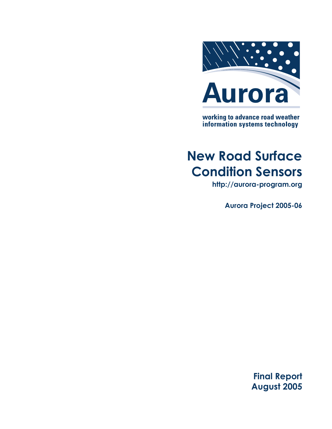

working to advance road weather<br>information systems technology

# **New Road Surface Condition Sensors**

**http://aurora-program.org**

**Aurora Project 2005-06**

**Final Report August 2005**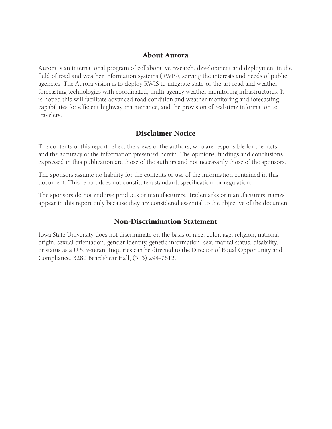## About Aurora

Aurora is an international program of collaborative research, development and deployment in the field of road and weather information systems (RWIS), serving the interests and needs of public agencies. The Aurora vision is to deploy RWIS to integrate state-of-the-art road and weather forecasting technologies with coordinated, multi-agency weather monitoring infrastructures. It is hoped this will facilitate advanced road condition and weather monitoring and forecasting capabilities for efficient highway maintenance, and the provision of real-time information to travelers.

# Disclaimer Notice

The contents of this report reflect the views of the authors, who are responsible for the facts and the accuracy of the information presented herein. The opinions, findings and conclusions expressed in this publication are those of the authors and not necessarily those of the sponsors.

The sponsors assume no liability for the contents or use of the information contained in this document. This report does not constitute a standard, specification, or regulation.

The sponsors do not endorse products or manufacturers. Trademarks or manufacturers' names appear in this report only because they are considered essential to the objective of the document.

## Non-Discrimination Statement

Iowa State University does not discriminate on the basis of race, color, age, religion, national origin, sexual orientation, gender identity, genetic information, sex, marital status, disability, or status as a U.S. veteran. Inquiries can be directed to the Director of Equal Opportunity and Compliance, 3280 Beardshear Hall, (515) 294-7612.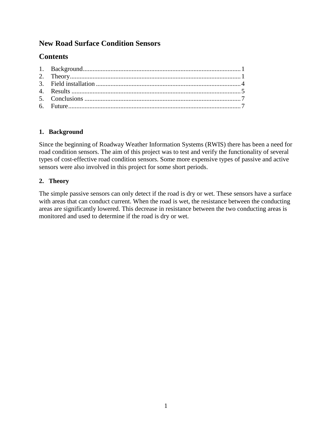# **New Road Surface Condition Sensors**

# **Contents**

#### **1. Background**

Since the beginning of Roadway Weather Information Systems (RWIS) there has been a need for road condition sensors. The aim of this project was to test and verify the functionality of several types of cost-effective road condition sensors. Some more expensive types of passive and active sensors were also involved in this project for some short periods.

### **2. Theory**

The simple passive sensors can only detect if the road is dry or wet. These sensors have a surface with areas that can conduct current. When the road is wet, the resistance between the conducting areas are significantly lowered. This decrease in resistance between the two conducting areas is monitored and used to determine if the road is dry or wet.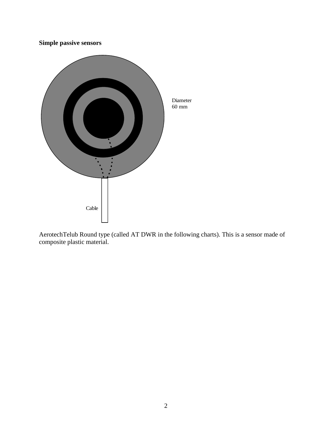**Simple passive sensors**



AerotechTelub Round type (called AT DWR in the following charts). This is a sensor made of composite plastic material.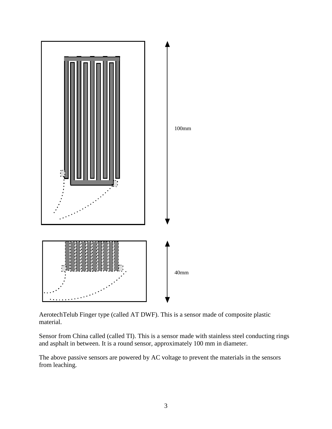

AerotechTelub Finger type (called AT DWF). This is a sensor made of composite plastic material.

Sensor from China called (called TI). This is a sensor made with stainless steel conducting rings and asphalt in between. It is a round sensor, approximately 100 mm in diameter.

The above passive sensors are powered by AC voltage to prevent the materials in the sensors from leaching.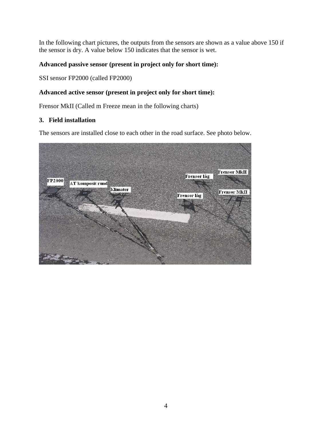In the following chart pictures, the outputs from the sensors are shown as a value above 150 if the sensor is dry. A value below 150 indicates that the sensor is wet.

#### **Advanced passive sensor (present in project only for short time):**

SSI sensor FP2000 (called FP2000)

#### **Advanced active sensor (present in project only for short time):**

Frensor MkII (Called m Freeze mean in the following charts)

#### **3. Field installation**

The sensors are installed close to each other in the road surface. See photo below.

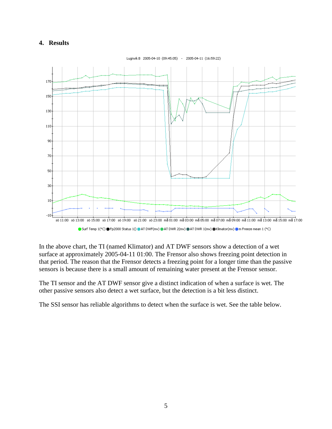#### **4. Results**



In the above chart, the TI (named Klimator) and AT DWF sensors show a detection of a wet surface at approximately 2005-04-11 01:00. The Frensor also shows freezing point detection in that period. The reason that the Frensor detects a freezing point for a longer time than the passive sensors is because there is a small amount of remaining water present at the Frensor sensor.

The TI sensor and the AT DWF sensor give a distinct indication of when a surface is wet. The other passive sensors also detect a wet surface, but the detection is a bit less distinct.

The SSI sensor has reliable algorithms to detect when the surface is wet. See the table below.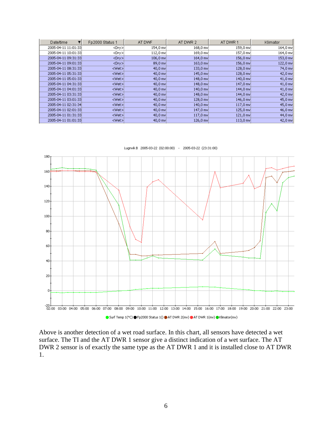| Date/time           | Fp2000 Status 1 | AT DWF     | AT DWR 2   | AT DWR 1   | Klimator  |
|---------------------|-----------------|------------|------------|------------|-----------|
| 2005-04-11 11:01:33 | <dry></dry>     | 154,0 mv   | 168,0 mvl  | 159,0 mv   | 164,0 mv  |
| 2005-04-11 10:01:33 | <dry>l</dry>    | $112,0$ mv | 169,0 mv   | 157,0 mv   | 164,0 mv  |
| 2005-04-11 09:31:33 | <dry></dry>     | $106,0$ mv | 164,0 mv   | $156,0$ mv | 153,0 mv  |
| 2005-04-11 09:01:33 | <dry></dry>     | 89,0 mv    | $163,0$ mv | $156,0$ mv | 122,0 mv  |
| 2005-04-11 08:31:33 | <wet>l</wet>    | 40,0 mv    | $133.0$ mv | $128,0$ mv | 74,0 mv   |
| 2005-04-11 05:31:33 | <wet>l</wet>    | $40,0$ mv  | 145,0 mvl  | 128,0 mv   | 42,0 mv   |
| 2005-04-11 05:01:33 | <wet></wet>     | 40,0 mv    | 148,0 mv   | 140,0 mv   | $41,0$ mv |
| 2005-04-11 04:31:33 | <wet>l</wet>    | $40.0$ mv  | 148,0 mv   | 147,0 mvl  | $41,0$ mv |
| 2005-04-11 04:01:33 | <wet></wet>     | 40,0 mv    | 140,0 mv   | 144,0 mv   | 41,0 mv   |
| 2005-04-11 03:31:33 | <wet>l</wet>    | 40,0 mvl   | 148,0 mvl  | 144,0 mv   | 42,0 mv   |
| 2005-04-11 03:01:33 | <wet></wet>     | $40,0$ mv  | $128,0$ mv | 146,0 mv   | 45,0 mv   |
| 2005-04-11 02:31:34 | <wet>l</wet>    | $40.0$ mv  | 140,0 mv   | $117,0$ mv | 45,0 mv   |
| 2005-04-11 02:01:33 | <wet></wet>     | 40,0 mvl   | 147,0 mv   | 125,0 mvl  | 46,0 mv   |
| 2005-04-11 01:31:33 | <wet>l</wet>    | 40,0 mv    | $117,0$ mv | $121,0$ mv | 44,0 mv   |
| 2005-04-11 01:01:33 | <wet></wet>     | $40,0$ mv  | $126,0$ mv | $113.0$ mv | 42,0 mv   |



Lugnvik B 2005-03-22 (02:00:00) - 2005-03-22 (23:31:00)

Above is another detection of a wet road surface. In this chart, all sensors have detected a wet surface. The TI and the AT DWR 1 sensor give a distinct indication of a wet surface. The AT DWR 2 sensor is of exactly the same type as the AT DWR 1 and it is installed close to AT DWR 1.